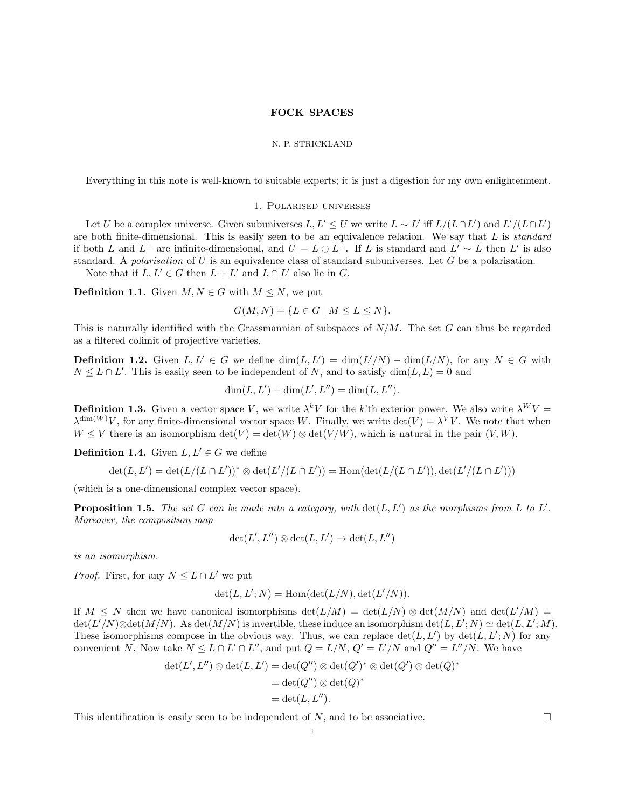# FOCK SPACES

#### N. P. STRICKLAND

Everything in this note is well-known to suitable experts; it is just a digestion for my own enlightenment.

# 1. Polarised universes

<span id="page-0-0"></span>Let U be a complex universe. Given subuniverses  $L, L' \leq U$  we write  $L \sim L'$  iff  $L/(L \cap L')$  and  $L'/(L \cap L')$ are both finite-dimensional. This is easily seen to be an equivalence relation. We say that  $L$  is standard if both L and  $L^{\perp}$  are infinite-dimensional, and  $U = L \oplus L^{\perp}$ . If L is standard and  $L' \sim L$  then L' is also standard. A polarisation of U is an equivalence class of standard subuniverses. Let  $G$  be a polarisation. Note that if  $L, L' \in G$  then  $L + L'$  and  $L \cap L'$  also lie in G.

**Definition 1.1.** Given  $M, N \in G$  with  $M \leq N$ , we put

 $G(M, N) = \{L \in G \mid M \leq L \leq N\}.$ 

This is naturally identified with the Grassmannian of subspaces of  $N/M$ . The set G can thus be regarded as a filtered colimit of projective varieties.

**Definition 1.2.** Given  $L, L' \in G$  we define  $\dim(L, L') = \dim(L'/N) - \dim(L/N)$ , for any  $N \in G$  with  $N \leq L \cap L'$ . This is easily seen to be independent of N, and to satisfy  $\dim(L, L) = 0$  and

 $\dim(L, L') + \dim(L', L'') = \dim(L, L'').$ 

**Definition 1.3.** Given a vector space V, we write  $\lambda^k V$  for the k'th exterior power. We also write  $\lambda^W V =$  $\lambda^{\dim(W)}V$ , for any finite-dimensional vector space W. Finally, we write  $\det(V) = \lambda^V V$ . We note that when  $W \leq V$  there is an isomorphism  $\det(V) = \det(W) \otimes \det(V/W)$ , which is natural in the pair  $(V, W)$ .

**Definition 1.4.** Given  $L, L' \in G$  we define

$$
\det(L, L') = \det(L/(L \cap L'))^* \otimes \det(L'/(L \cap L')) = \text{Hom}(\det(L/(L \cap L')), \det(L'/(L \cap L')))
$$

(which is a one-dimensional complex vector space).

**Proposition 1.5.** The set G can be made into a category, with  $\det(L, L')$  as the morphisms from L to L'. Moreover, the composition map

$$
\det(L', L'') \otimes \det(L, L') \to \det(L, L'')
$$

is an isomorphism.

*Proof.* First, for any  $N \leq L \cap L'$  we put

$$
\det(L, L'; N) = \text{Hom}(\det(L/N), \det(L'/N)).
$$

If  $M \leq N$  then we have canonical isomorphisms  $\det(L/M) = \det(L/N) \otimes \det(M/N)$  and  $\det(L/M) =$  $\det(L'/N) \otimes \det(M/N)$ . As  $\det(M/N)$  is invertible, these induce an isomorphism  $\det(L, L'; N) \simeq \det(L, L'; M)$ . These isomorphisms compose in the obvious way. Thus, we can replace  $\det(L, L')$  by  $\det(L, L'; N)$  for any convenient N. Now take  $N \leq L \cap L' \cap L''$ , and put  $Q = L/N$ ,  $Q' = L'/N$  and  $Q'' = L''/N$ . We have

$$
det(L', L'') \otimes det(L, L') = det(Q'') \otimes det(Q')^* \otimes det(Q') \otimes det(Q)^*
$$
  
= det(Q'') \otimes det(Q)<sup>\*</sup>  
= det(L, L'').

This identification is easily seen to be independent of N, and to be associative.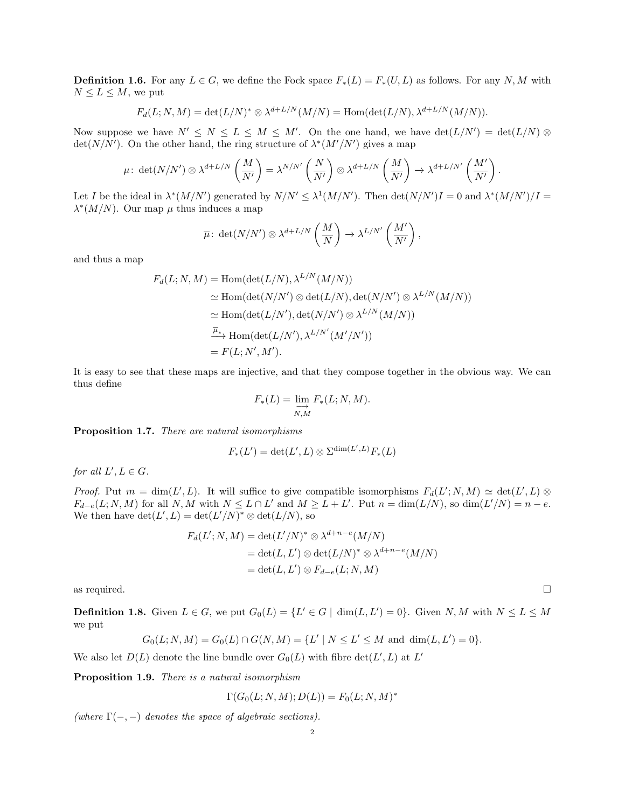**Definition 1.6.** For any  $L \in G$ , we define the Fock space  $F_*(L) = F_*(U, L)$  as follows. For any N, M with  $N \leq L \leq M$ , we put

$$
F_d(L; N, M) = \det(L/N)^* \otimes \lambda^{d+L/N}(M/N) = \text{Hom}(\det(L/N), \lambda^{d+L/N}(M/N)).
$$

Now suppose we have  $N' \leq N \leq L \leq M \leq M'$ . On the one hand, we have  $\det(L/N') = \det(L/N) \otimes$  $\det(N/N')$ . On the other hand, the ring structure of  $\lambda^*(M'/N')$  gives a map

$$
\mu: \det(N/N') \otimes \lambda^{d+L/N} \left(\frac{M}{N'}\right) = \lambda^{N/N'} \left(\frac{N}{N'}\right) \otimes \lambda^{d+L/N} \left(\frac{M}{N'}\right) \to \lambda^{d+L/N'} \left(\frac{M'}{N'}\right).
$$

Let I be the ideal in  $\lambda^*(M/N')$  generated by  $N/N' \leq \lambda^1(M/N')$ . Then  $\det(N/N')I = 0$  and  $\lambda^*(M/N')/I =$  $\lambda^*(M/N)$ . Our map  $\mu$  thus induces a map

$$
\overline{\mu}\colon \det(N/N')\otimes \lambda^{d+L/N}\left(\frac{M}{N}\right)\to \lambda^{L/N'}\left(\frac{M'}{N'}\right),
$$

and thus a map

$$
F_d(L; N, M) = \text{Hom}(\det(L/N), \lambda^{L/N}(M/N))
$$
  
\n
$$
\simeq \text{Hom}(\det(N/N') \otimes \det(L/N), \det(N/N') \otimes \lambda^{L/N}(M/N))
$$
  
\n
$$
\simeq \text{Hom}(\det(L/N'), \det(N/N') \otimes \lambda^{L/N}(M/N))
$$
  
\n
$$
\xrightarrow{\overline{\mu}_{*}} \text{Hom}(\det(L/N'), \lambda^{L/N'}(M'/N'))
$$
  
\n
$$
= F(L; N', M').
$$

It is easy to see that these maps are injective, and that they compose together in the obvious way. We can thus define

$$
F_*(L) = \varinjlim_{N,M} F_*(L;N,M).
$$

Proposition 1.7. There are natural isomorphisms

$$
F_*(L') = \det(L', L) \otimes \Sigma^{\dim(L', L)} F_*(L)
$$

for all  $L', L \in G$ .

*Proof.* Put  $m = \dim(L', L)$ . It will suffice to give compatible isomorphisms  $F_d(L'; N, M) \simeq \det(L', L) \otimes$  $F_{d-e}(L; N, M)$  for all N, M with  $N \le L \cap L'$  and  $M \ge L + L'$ . Put  $n = \dim(L/N)$ , so  $\dim(L'/N) = n - e$ . We then have  $\det(L', L) = \det(L'/N)^* \otimes \det(L/N)$ , so

$$
F_d(L'; N, M) = \det(L'/N)^* \otimes \lambda^{d+n-e}(M/N)
$$
  
= 
$$
\det(L, L') \otimes \det(L/N)^* \otimes \lambda^{d+n-e}(M/N)
$$
  
= 
$$
\det(L, L') \otimes F_{d-e}(L; N, M)
$$

as required.  $\square$ 

**Definition 1.8.** Given  $L \in G$ , we put  $G_0(L) = \{L' \in G \mid \dim(L, L') = 0\}$ . Given  $N, M$  with  $N \le L \le M$ we put

$$
G_0(L; N, M) = G_0(L) \cap G(N, M) = \{L' \mid N \le L' \le M \text{ and } \dim(L, L') = 0\}.
$$

We also let  $D(L)$  denote the line bundle over  $G_0(L)$  with fibre  $\det(L', L)$  at  $L'$ 

Proposition 1.9. There is a natural isomorphism

$$
\Gamma(G_0(L;N,M);D(L)) = F_0(L;N,M)^*
$$

(where  $\Gamma(-, -)$  denotes the space of algebraic sections).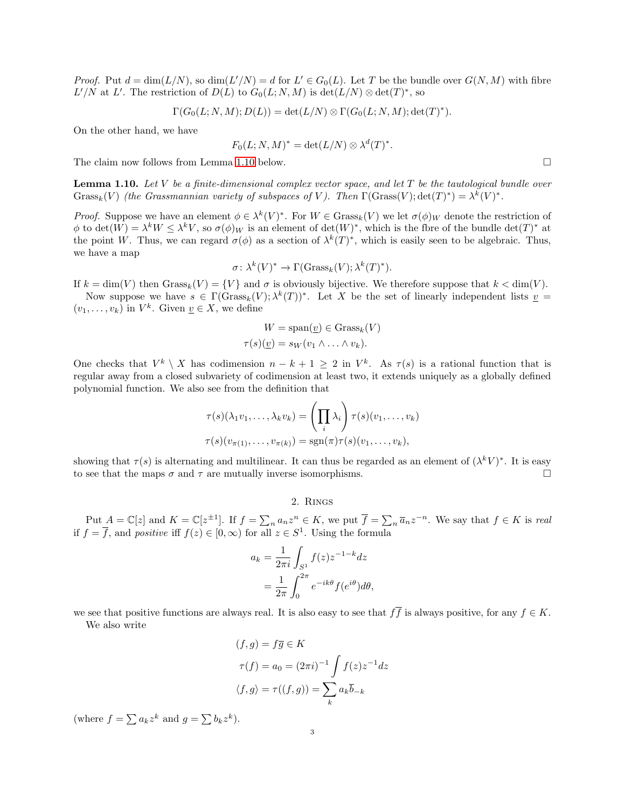*Proof.* Put  $d = \dim(L/N)$ , so  $\dim(L'/N) = d$  for  $L' \in G_0(L)$ . Let T be the bundle over  $G(N, M)$  with fibre  $L'/N$  at L'. The restriction of  $D(L)$  to  $G_0(L; N, M)$  is  $\det(L/N) \otimes \det(T)^*$ , so

$$
\Gamma(G_0(L; N, M); D(L)) = \det(L/N) \otimes \Gamma(G_0(L; N, M); \det(T)^*).
$$

On the other hand, we have

$$
F_0(L;N,M)^* = \det(L/N) \otimes \lambda^d(T)^*.
$$

The claim now follows from Lemma [1.10](#page-2-0) below.

<span id="page-2-0"></span>**Lemma 1.10.** Let V be a finite-dimensional complex vector space, and let  $T$  be the tautological bundle over Grass<sub>k</sub>(V) (the Grassmannian variety of subspaces of V). Then  $\Gamma(\text{Grass}(V); \det(T)^*) = \lambda^k(V)^*$ .

*Proof.* Suppose we have an element  $\phi \in \lambda^k(V)^*$ . For  $W \in \text{Grass}_k(V)$  we let  $\sigma(\phi)_W$  denote the restriction of  $\phi$  to  $\det(W) = \lambda^k W \leq \lambda^k V$ , so  $\sigma(\phi)_W$  is an element of  $\det(W)^*$ , which is the fbre of the bundle  $\det(T)^*$  at the point W. Thus, we can regard  $\sigma(\phi)$  as a section of  $\lambda^k(T)^*$ , which is easily seen to be algebraic. Thus, we have a map

$$
\sigma \colon \lambda^k(V)^* \to \Gamma(\operatorname{Grass}_k(V); \lambda^k(T)^*).
$$

If  $k = \dim(V)$  then  $Grass_k(V) = \{V\}$  and  $\sigma$  is obviously bijective. We therefore suppose that  $k < \dim(V)$ . Now suppose we have  $s \in \Gamma(\text{Grass}_k(V); \lambda^k(T))^*$ . Let X be the set of linearly independent lists  $\underline{v} =$ 

 $(v_1, \ldots, v_k)$  in  $V^k$ . Given  $\underline{v} \in X$ , we define

$$
W = \text{span}(\underline{v}) \in \text{Grass}_k(V)
$$

$$
\tau(s)(\underline{v}) = s_W(v_1 \land \dots \land v_k).
$$

One checks that  $V^k \setminus X$  has codimension  $n - k + 1 \geq 2$  in  $V^k$ . As  $\tau(s)$  is a rational function that is regular away from a closed subvariety of codimension at least two, it extends uniquely as a globally defined polynomial function. We also see from the definition that

$$
\tau(s)(\lambda_1 v_1, \dots, \lambda_k v_k) = \left(\prod_i \lambda_i\right) \tau(s)(v_1, \dots, v_k)
$$

$$
\tau(s)(v_{\pi(1)}, \dots, v_{\pi(k)}) = \text{sgn}(\pi)\tau(s)(v_1, \dots, v_k),
$$

showing that  $\tau(s)$  is alternating and multilinear. It can thus be regarded as an element of  $(\lambda^k V)^*$ . It is easy to see that the maps  $\sigma$  and  $\tau$  are mutually inverse isomorphisms.

# 2. Rings

Put  $A = \mathbb{C}[z]$  and  $K = \mathbb{C}[z^{\pm 1}]$ . If  $f = \sum_n a_n z^n \in K$ , we put  $\overline{f} = \sum_n \overline{a}_n z^{-n}$ . We say that  $f \in K$  is real if  $f = \overline{f}$ , and positive iff  $f(z) \in [0, \infty)$  for all  $z \in S^1$ . Using the formula

$$
a_k = \frac{1}{2\pi i} \int_{S^1} f(z) z^{-1-k} dz
$$
  
= 
$$
\frac{1}{2\pi} \int_0^{2\pi} e^{-ik\theta} f(e^{i\theta}) d\theta,
$$

we see that positive functions are always real. It is also easy to see that  $f\bar{f}$  is always positive, for any  $f \in K$ .

We also write

$$
(f,g) = f\overline{g} \in K
$$
  

$$
\tau(f) = a_0 = (2\pi i)^{-1} \int f(z)z^{-1} dz
$$
  

$$
\langle f, g \rangle = \tau((f,g)) = \sum_k a_k \overline{b}_{-k}
$$

(where  $f = \sum a_k z^k$  and  $g = \sum b_k z^k$ ).